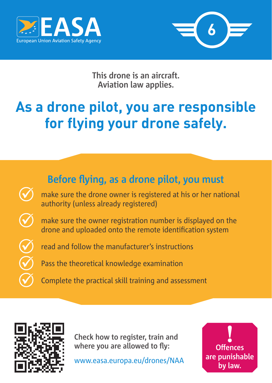



**This drone is an aircraft. Aviation law applies.**

## **As a drone pilot, you are responsible for flying your drone safely.**

## **Before flying, as a drone pilot, you must**

 make sure the drone owner is registered at his or her national authority (unless already registered)

 make sure the owner registration number is displayed on the drone and uploaded onto the remote identification system

read and follow the manufacturer's instructions

Pass the theoretical knowledge examination

Complete the practical skill training and assessment



**Check how to register, train and where you are allowed to fly:**

www.easa.europa.eu/drones/NAA